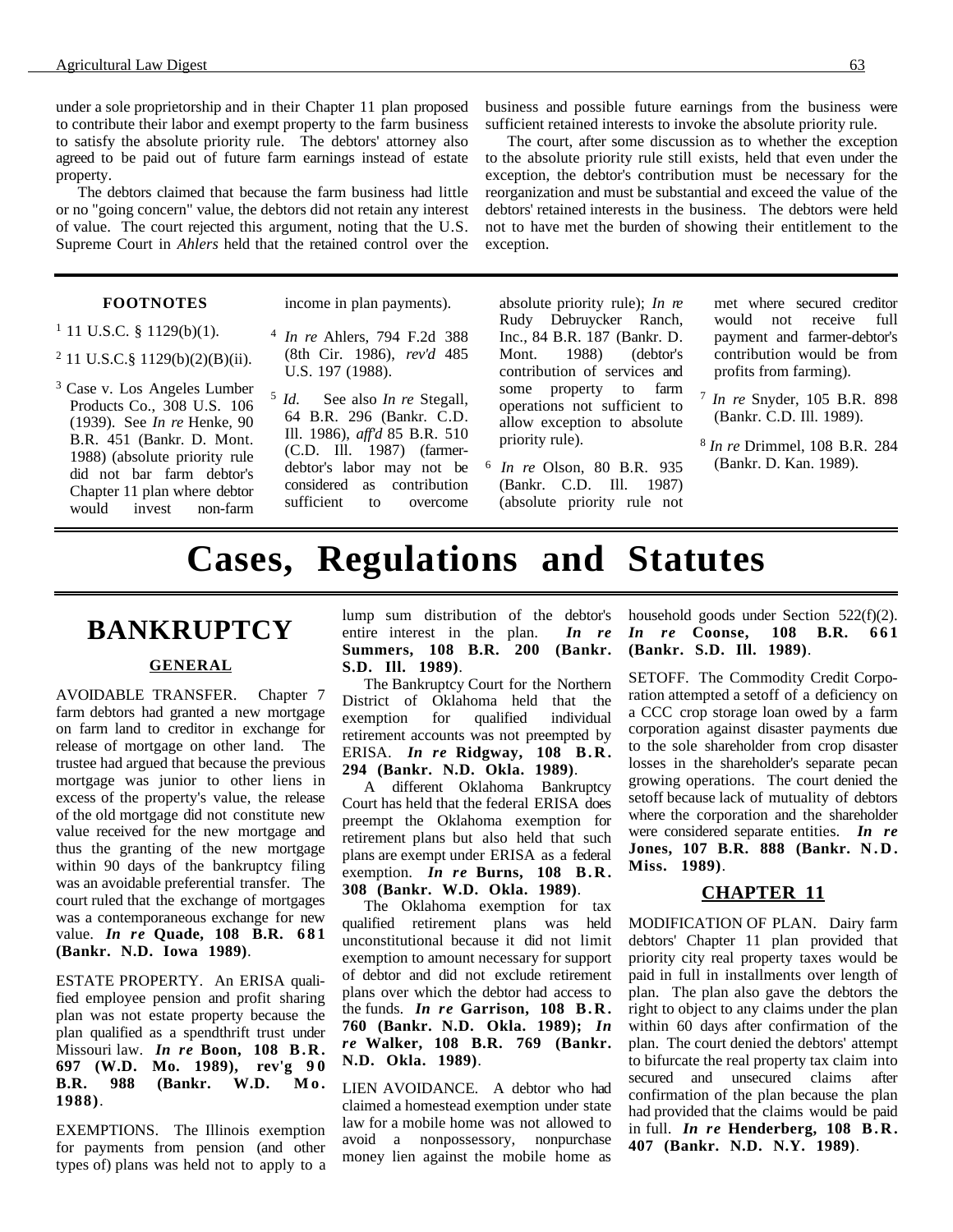under a sole proprietorship and in their Chapter 11 plan proposed to contribute their labor and exempt property to the farm business to satisfy the absolute priority rule. The debtors' attorney also agreed to be paid out of future farm earnings instead of estate property.

The debtors claimed that because the farm business had little or no "going concern" value, the debtors did not retain any interest of value. The court rejected this argument, noting that the U.S. Supreme Court in *Ahlers* held that the retained control over the

#### **FOOTNOTES**

income in plan payments).

#### $1$  11 U.S.C. § 1129(b)(1).

- 2 11 U.S.C.§ 1129(b)(2)(B)(ii).
- 3 Case v. Los Angeles Lumber Products Co., 308 U.S. 106 (1939). See *In re* Henke, 90 B.R. 451 (Bankr. D. Mont. 1988) (absolute priority rule did not bar farm debtor's Chapter 11 plan where debtor would invest non-farm
- <sup>4</sup> *In re* Ahlers, 794 F.2d 388 (8th Cir. 1986), *rev'd* 485 U.S. 197 (1988).
- <sup>5</sup> *Id*. See also *In re* Stegall, 64 B.R. 296 (Bankr. C.D. Ill. 1986), *aff'd* 85 B.R. 510 (C.D. Ill. 1987) (farmerdebtor's labor may not be considered as contribution sufficient to overcome

business and possible future earnings from the business were sufficient retained interests to invoke the absolute priority rule.

The court, after some discussion as to whether the exception to the absolute priority rule still exists, held that even under the exception, the debtor's contribution must be necessary for the reorganization and must be substantial and exceed the value of the debtors' retained interests in the business. The debtors were held not to have met the burden of showing their entitlement to the exception.

absolute priority rule); *In re* Rudy Debruycker Ranch, Inc., 84 B.R. 187 (Bankr. D. Mont. 1988) (debtor's contribution of services and some property to farm operations not sufficient to allow exception to absolute priority rule).

<sup>6</sup> *In re* Olson, 80 B.R. 935 (Bankr. C.D. Ill. 1987) (absolute priority rule not met where secured creditor would not receive full payment and farmer-debtor's contribution would be from profits from farming).

- <sup>7</sup> *In re* Snyder, 105 B.R. 898 (Bankr. C.D. Ill. 1989).
- <sup>8</sup> *In re* Drimmel, 108 B.R. 284 (Bankr. D. Kan. 1989).

# **Cases, Regulations and Statutes**

# **BANKRUPTCY**

### **GENERAL**

AVOIDABLE TRANSFER. Chapter 7 farm debtors had granted a new mortgage on farm land to creditor in exchange for release of mortgage on other land. The trustee had argued that because the previous mortgage was junior to other liens in excess of the property's value, the release of the old mortgage did not constitute new value received for the new mortgage and thus the granting of the new mortgage within 90 days of the bankruptcy filing was an avoidable preferential transfer. The court ruled that the exchange of mortgages was a contemporaneous exchange for new value. *In re* **Quade, 108 B.R. 681 (Bankr. N.D. Iowa 1989)**.

ESTATE PROPERTY. An ERISA qualified employee pension and profit sharing plan was not estate property because the plan qualified as a spendthrift trust under Missouri law. *In re* **Boon, 108 B.R. 697 (W.D. Mo. 1989), rev'g 9 0 B.R. 988 (Bankr. W.D. Mo. 1988)**.

EXEMPTIONS. The Illinois exemption for payments from pension (and other types of) plans was held not to apply to a

lump sum distribution of the debtor's entire interest in the plan. *In re* **Summers, 108 B.R. 200 (Bankr. S.D. Ill. 1989)**.

The Bankruptcy Court for the Northern District of Oklahoma held that the exemption for qualified individual retirement accounts was not preempted by ERISA. *In re* **Ridgway, 108 B.R. 294 (Bankr. N.D. Okla. 1989)**.

A different Oklahoma Bankruptcy Court has held that the federal ERISA does preempt the Oklahoma exemption for retirement plans but also held that such plans are exempt under ERISA as a federal exemption. *In re* **Burns, 108 B.R. 308 (Bankr. W.D. Okla. 1989)**.

The Oklahoma exemption for tax qualified retirement plans was held unconstitutional because it did not limit exemption to amount necessary for support of debtor and did not exclude retirement plans over which the debtor had access to the funds. *In re* **Garrison, 108 B.R. 760 (Bankr. N.D. Okla. 1989);** *In re* **Walker, 108 B.R. 769 (Bankr. N.D. Okla. 1989)**.

LIEN AVOIDANCE. A debtor who had claimed a homestead exemption under state law for a mobile home was not allowed to avoid a nonpossessory, nonpurchase money lien against the mobile home as

household goods under Section 522(f)(2). *In re* **Coonse, 108 B.R. 661 (Bankr. S.D. Ill. 1989)**.

SETOFF. The Commodity Credit Corporation attempted a setoff of a deficiency on a CCC crop storage loan owed by a farm corporation against disaster payments due to the sole shareholder from crop disaster losses in the shareholder's separate pecan growing operations. The court denied the setoff because lack of mutuality of debtors where the corporation and the shareholder were considered separate entities. *In re* **Jones, 107 B.R. 888 (Bankr. N.D. Miss. 1989)**.

### **CHAPTER 11**

MODIFICATION OF PLAN. Dairy farm debtors' Chapter 11 plan provided that priority city real property taxes would be paid in full in installments over length of plan. The plan also gave the debtors the right to object to any claims under the plan within 60 days after confirmation of the plan. The court denied the debtors' attempt to bifurcate the real property tax claim into secured and unsecured claims after confirmation of the plan because the plan had provided that the claims would be paid in full. *In re* **Henderberg, 108 B.R. 407 (Bankr. N.D. N.Y. 1989)**.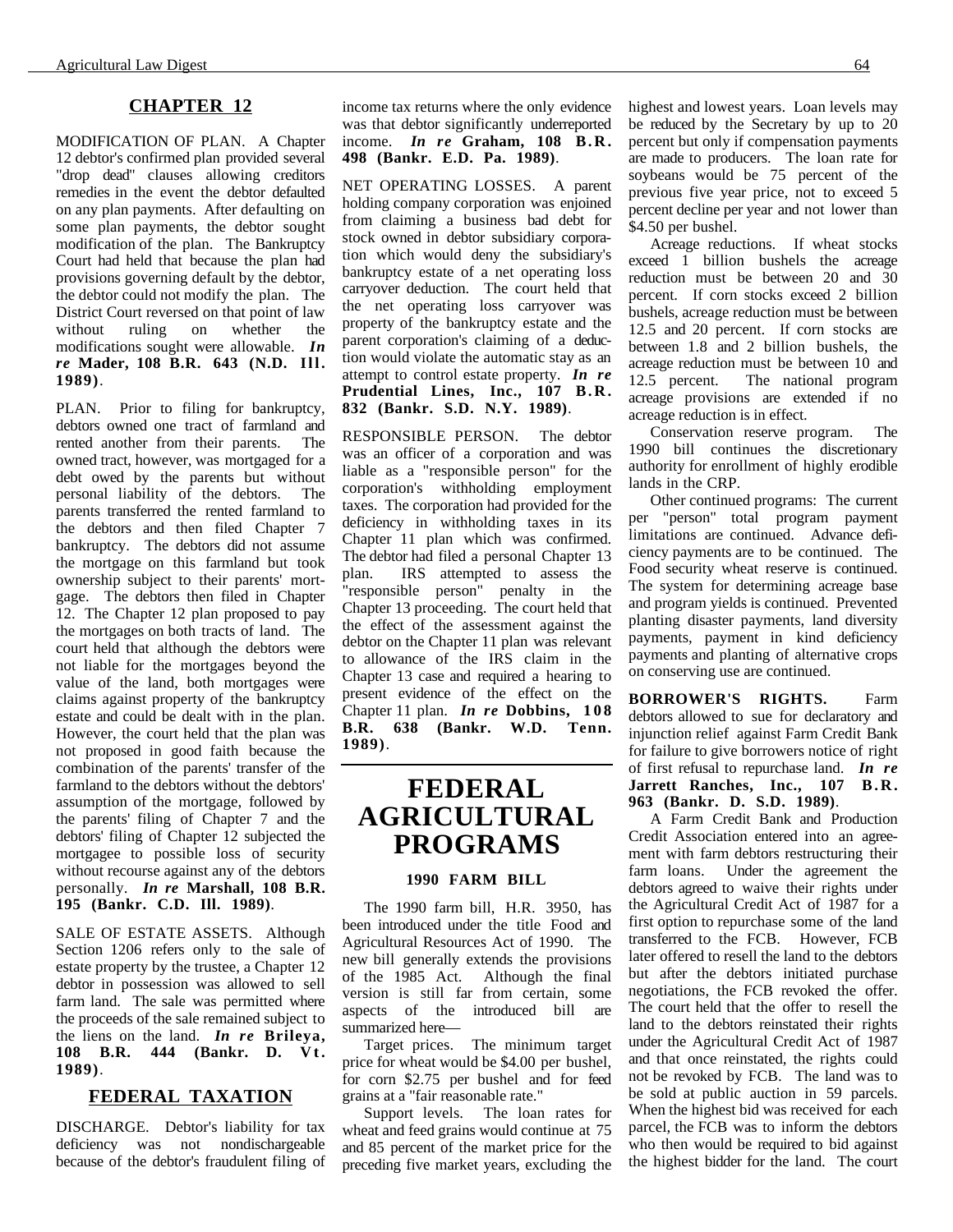### **CHAPTER 12**

MODIFICATION OF PLAN. A Chapter 12 debtor's confirmed plan provided several "drop dead" clauses allowing creditors remedies in the event the debtor defaulted on any plan payments. After defaulting on some plan payments, the debtor sought modification of the plan. The Bankruptcy Court had held that because the plan had provisions governing default by the debtor, the debtor could not modify the plan. The District Court reversed on that point of law without ruling on whether the modifications sought were allowable. *In re* **Mader, 108 B.R. 643 (N.D. Ill. 1989)**.

PLAN. Prior to filing for bankruptcy, debtors owned one tract of farmland and rented another from their parents. The owned tract, however, was mortgaged for a debt owed by the parents but without personal liability of the debtors. The parents transferred the rented farmland to the debtors and then filed Chapter 7 bankruptcy. The debtors did not assume the mortgage on this farmland but took ownership subject to their parents' mortgage. The debtors then filed in Chapter 12. The Chapter 12 plan proposed to pay the mortgages on both tracts of land. The court held that although the debtors were not liable for the mortgages beyond the value of the land, both mortgages were claims against property of the bankruptcy estate and could be dealt with in the plan. However, the court held that the plan was not proposed in good faith because the combination of the parents' transfer of the farmland to the debtors without the debtors' assumption of the mortgage, followed by the parents' filing of Chapter 7 and the debtors' filing of Chapter 12 subjected the mortgagee to possible loss of security without recourse against any of the debtors personally. *In re* **Marshall, 108 B.R. 195 (Bankr. C.D. Ill. 1989)**.

SALE OF ESTATE ASSETS. Although Section 1206 refers only to the sale of estate property by the trustee, a Chapter 12 debtor in possession was allowed to sell farm land. The sale was permitted where the proceeds of the sale remained subject to the liens on the land. *In re* **Brileya, 108 B.R. 444 (Bankr. D. Vt. 1989)**.

### **FEDERAL TAXATION**

DISCHARGE. Debtor's liability for tax deficiency was not nondischargeable because of the debtor's fraudulent filing of

income tax returns where the only evidence was that debtor significantly underreported income. *In re* **Graham, 108 B.R. 498 (Bankr. E.D. Pa. 1989)**.

NET OPERATING LOSSES. A parent holding company corporation was enjoined from claiming a business bad debt for stock owned in debtor subsidiary corporation which would deny the subsidiary's bankruptcy estate of a net operating loss carryover deduction. The court held that the net operating loss carryover was property of the bankruptcy estate and the parent corporation's claiming of a deduction would violate the automatic stay as an attempt to control estate property. *In re* **Prudential Lines, Inc., 107 B.R. 832 (Bankr. S.D. N.Y. 1989)**.

RESPONSIBLE PERSON. The debtor was an officer of a corporation and was liable as a "responsible person" for the corporation's withholding employment taxes. The corporation had provided for the deficiency in withholding taxes in its Chapter 11 plan which was confirmed. The debtor had filed a personal Chapter 13 plan. IRS attempted to assess the "responsible person" penalty in the Chapter 13 proceeding. The court held that the effect of the assessment against the debtor on the Chapter 11 plan was relevant to allowance of the IRS claim in the Chapter 13 case and required a hearing to present evidence of the effect on the Chapter 11 plan. *In re* **Dobbins, 108 B.R. 638 (Bankr. W.D. 1989)**.

### **FEDERAL AGRICULTURAL PROGRAMS**

### **1990 FARM BILL**

The 1990 farm bill, H.R. 3950, has been introduced under the title Food and Agricultural Resources Act of 1990. The new bill generally extends the provisions of the 1985 Act. Although the final version is still far from certain, some aspects of the introduced bill are summarized here—

Target prices. The minimum target price for wheat would be \$4.00 per bushel, for corn \$2.75 per bushel and for feed grains at a "fair reasonable rate."

Support levels. The loan rates for wheat and feed grains would continue at 75 and 85 percent of the market price for the preceding five market years, excluding the highest and lowest years. Loan levels may be reduced by the Secretary by up to 20 percent but only if compensation payments are made to producers. The loan rate for soybeans would be 75 percent of the previous five year price, not to exceed 5 percent decline per year and not lower than \$4.50 per bushel.

Acreage reductions. If wheat stocks exceed 1 billion bushels the acreage reduction must be between 20 and 30 percent. If corn stocks exceed 2 billion bushels, acreage reduction must be between 12.5 and 20 percent. If corn stocks are between 1.8 and 2 billion bushels, the acreage reduction must be between 10 and 12.5 percent. The national program acreage provisions are extended if no acreage reduction is in effect.

Conservation reserve program. The 1990 bill continues the discretionary authority for enrollment of highly erodible lands in the CRP.

Other continued programs: The current per "person" total program payment limitations are continued. Advance deficiency payments are to be continued. The Food security wheat reserve is continued. The system for determining acreage base and program yields is continued. Prevented planting disaster payments, land diversity payments, payment in kind deficiency payments and planting of alternative crops on conserving use are continued.

**BORROWER'S RIGHTS.** Farm debtors allowed to sue for declaratory and injunction relief against Farm Credit Bank for failure to give borrowers notice of right of first refusal to repurchase land. *In re* **Jarrett Ranches, Inc., 107 B.R. 963 (Bankr. D. S.D. 1989)**.

A Farm Credit Bank and Production Credit Association entered into an agreement with farm debtors restructuring their farm loans. Under the agreement the debtors agreed to waive their rights under the Agricultural Credit Act of 1987 for a first option to repurchase some of the land transferred to the FCB. However, FCB later offered to resell the land to the debtors but after the debtors initiated purchase negotiations, the FCB revoked the offer. The court held that the offer to resell the land to the debtors reinstated their rights under the Agricultural Credit Act of 1987 and that once reinstated, the rights could not be revoked by FCB. The land was to be sold at public auction in 59 parcels. When the highest bid was received for each parcel, the FCB was to inform the debtors who then would be required to bid against the highest bidder for the land. The court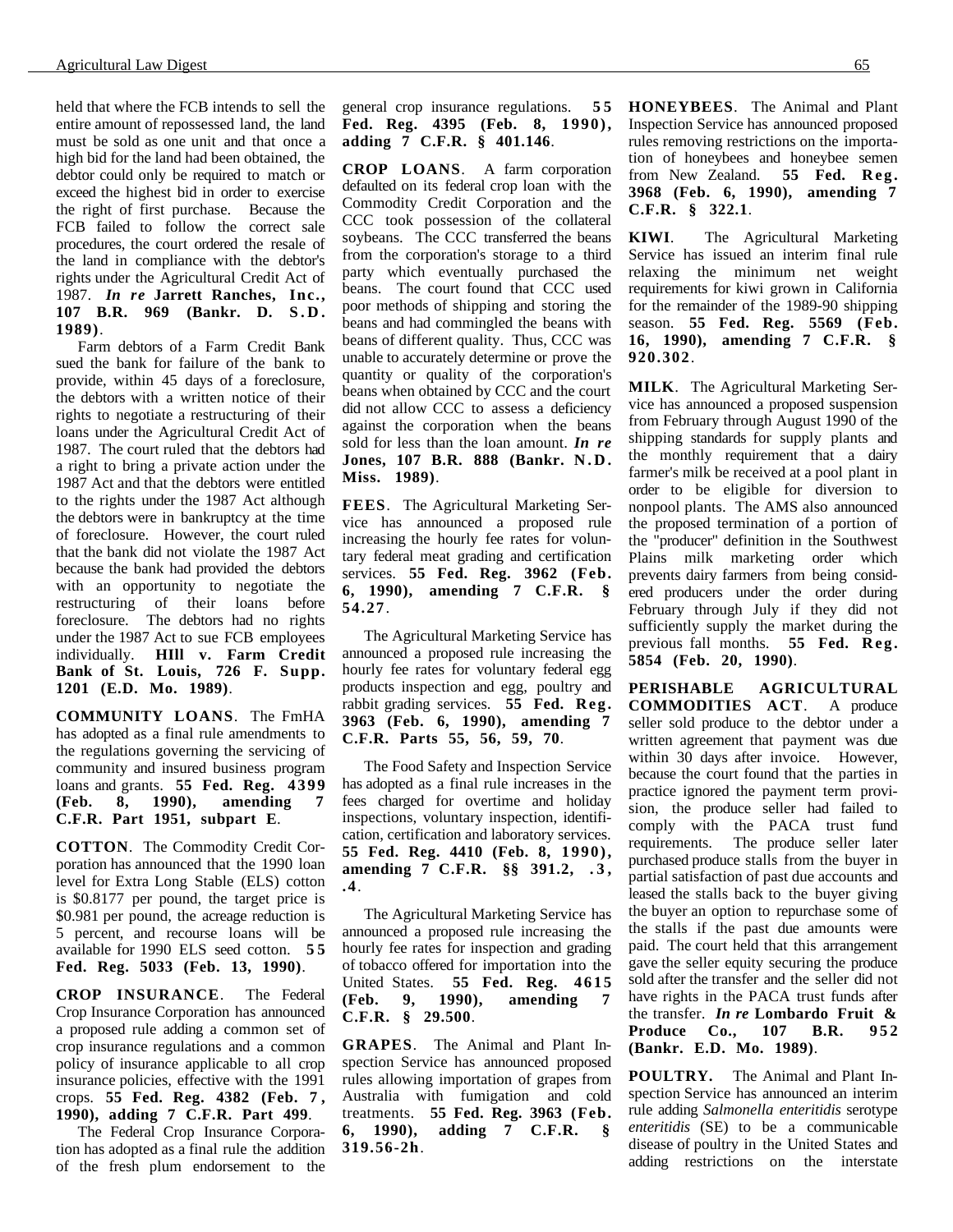held that where the FCB intends to sell the entire amount of repossessed land, the land must be sold as one unit and that once a high bid for the land had been obtained, the debtor could only be required to match or exceed the highest bid in order to exercise the right of first purchase. Because the FCB failed to follow the correct sale procedures, the court ordered the resale of the land in compliance with the debtor's rights under the Agricultural Credit Act of 1987. *In re* **Jarrett Ranches, Inc., 107 B.R. 969 (Bankr. D. S.D. 1989)**.

Farm debtors of a Farm Credit Bank sued the bank for failure of the bank to provide, within 45 days of a foreclosure, the debtors with a written notice of their rights to negotiate a restructuring of their loans under the Agricultural Credit Act of 1987. The court ruled that the debtors had a right to bring a private action under the 1987 Act and that the debtors were entitled to the rights under the 1987 Act although the debtors were in bankruptcy at the time of foreclosure. However, the court ruled that the bank did not violate the 1987 Act because the bank had provided the debtors with an opportunity to negotiate the restructuring of their loans before foreclosure. The debtors had no rights under the 1987 Act to sue FCB employees individually. **HIll v. Farm Credit Bank of St. Louis, 726 F. Supp. 1201 (E.D. Mo. 1989)**.

**COMMUNITY LOANS**. The FmHA has adopted as a final rule amendments to the regulations governing the servicing of community and insured business program loans and grants. **55 Fed. Reg. 4399 (Feb. 8, 1990), amending 7 C.F.R. Part 1951, subpart E**.

**COTTON**. The Commodity Credit Corporation has announced that the 1990 loan level for Extra Long Stable (ELS) cotton is \$0.8177 per pound, the target price is \$0.981 per pound, the acreage reduction is 5 percent, and recourse loans will be available for 1990 ELS seed cotton. **5 5 Fed. Reg. 5033 (Feb. 13, 1990)**.

**CROP INSURANCE**. The Federal Crop Insurance Corporation has announced a proposed rule adding a common set of crop insurance regulations and a common policy of insurance applicable to all crop insurance policies, effective with the 1991 crops. **55 Fed. Reg. 4382 (Feb. 7 , 1990), adding 7 C.F.R. Part 499**.

The Federal Crop Insurance Corporation has adopted as a final rule the addition of the fresh plum endorsement to the general crop insurance regulations. **5 5 Fed. Reg. 4395 (Feb. 8, 1990), adding 7 C.F.R. § 401.146**.

**CROP LOANS**. A farm corporation defaulted on its federal crop loan with the Commodity Credit Corporation and the CCC took possession of the collateral soybeans. The CCC transferred the beans from the corporation's storage to a third party which eventually purchased the beans. The court found that CCC used poor methods of shipping and storing the beans and had commingled the beans with beans of different quality. Thus, CCC was unable to accurately determine or prove the quantity or quality of the corporation's beans when obtained by CCC and the court did not allow CCC to assess a deficiency against the corporation when the beans sold for less than the loan amount. *In re* **Jones, 107 B.R. 888 (Bankr. N.D. Miss. 1989)**.

**FEES**. The Agricultural Marketing Service has announced a proposed rule increasing the hourly fee rates for voluntary federal meat grading and certification services. **55 Fed. Reg. 3962 (Feb. 6, 1990), amending 7 C.F.R. § 54.27**.

The Agricultural Marketing Service has announced a proposed rule increasing the hourly fee rates for voluntary federal egg products inspection and egg, poultry and rabbit grading services. **55 Fed. Reg. 3963 (Feb. 6, 1990), amending 7 C.F.R. Parts 55, 56, 59, 70**.

The Food Safety and Inspection Service has adopted as a final rule increases in the fees charged for overtime and holiday inspections, voluntary inspection, identification, certification and laboratory services. **55 Fed. Reg. 4410 (Feb. 8, 1990), amending 7 C.F.R. §§ 391.2, . 3 , .4**.

The Agricultural Marketing Service has announced a proposed rule increasing the hourly fee rates for inspection and grading of tobacco offered for importation into the United States. **55 Fed. Reg. 4615 (Feb. 9, 1990), amending 7 C.F.R. § 29.500**.

**GRAPES**. The Animal and Plant Inspection Service has announced proposed rules allowing importation of grapes from Australia with fumigation and cold treatments. **55 Fed. Reg. 3963 (Feb. 6, 1990), adding 7 C.F.R. § 319.56-2h**.

**HONEYBEES**. The Animal and Plant Inspection Service has announced proposed rules removing restrictions on the importation of honeybees and honeybee semen from New Zealand. **55 Fed. Reg. 3968 (Feb. 6, 1990), amending 7 C.F.R. § 322.1**.

**KIWI**. The Agricultural Marketing Service has issued an interim final rule relaxing the minimum net weight requirements for kiwi grown in California for the remainder of the 1989-90 shipping season. **55 Fed. Reg. 5569 (Feb. 16, 1990), amending 7 C.F.R. § 920.302**.

**MILK**. The Agricultural Marketing Service has announced a proposed suspension from February through August 1990 of the shipping standards for supply plants and the monthly requirement that a dairy farmer's milk be received at a pool plant in order to be eligible for diversion to nonpool plants. The AMS also announced the proposed termination of a portion of the "producer" definition in the Southwest Plains milk marketing order which prevents dairy farmers from being considered producers under the order during February through July if they did not sufficiently supply the market during the previous fall months. **55 Fed. Reg. 5854 (Feb. 20, 1990)**.

**PERISHABLE AGRICULTURAL COMMODITIES ACT**. A produce seller sold produce to the debtor under a written agreement that payment was due within 30 days after invoice. However, because the court found that the parties in practice ignored the payment term provision, the produce seller had failed to comply with the PACA trust fund requirements. The produce seller later purchased produce stalls from the buyer in partial satisfaction of past due accounts and leased the stalls back to the buyer giving the buyer an option to repurchase some of the stalls if the past due amounts were paid. The court held that this arrangement gave the seller equity securing the produce sold after the transfer and the seller did not have rights in the PACA trust funds after the transfer. *In re* **Lombardo Fruit & Produce Co., 107 B.R. 952 (Bankr. E.D. Mo. 1989)**.

**POULTRY.** The Animal and Plant Inspection Service has announced an interim rule adding *Salmonella enteritidis* serotype *enteritidis* (SE) to be a communicable disease of poultry in the United States and adding restrictions on the interstate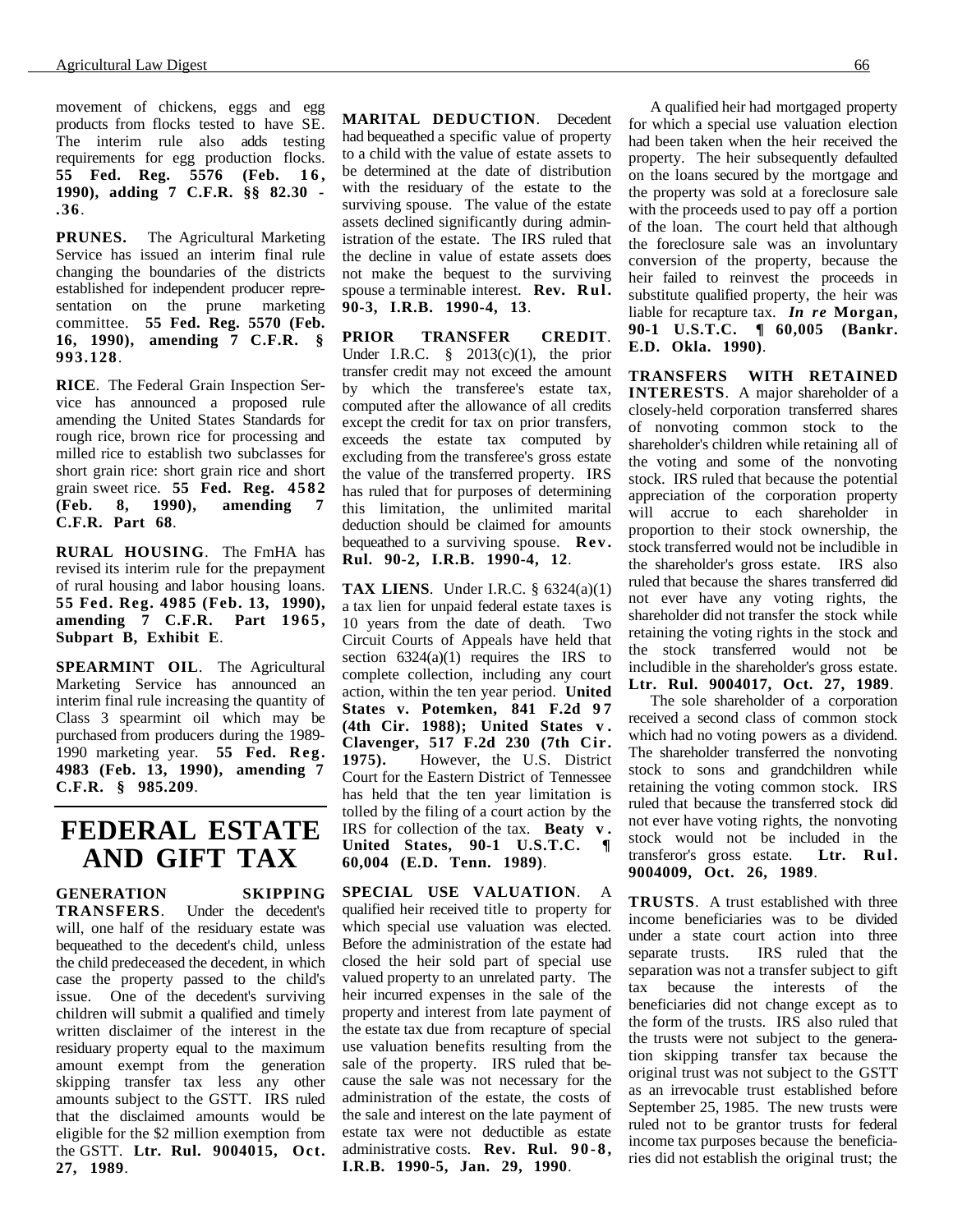movement of chickens, eggs and egg products from flocks tested to have SE. The interim rule also adds testing requirements for egg production flocks. **55 Fed. Reg. 5576 (Feb. 1 6 , 1990), adding 7 C.F.R. §§ 82.30 - .36**.

**PRUNES.** The Agricultural Marketing Service has issued an interim final rule changing the boundaries of the districts established for independent producer representation on the prune marketing committee. **55 Fed. Reg. 5570 (Feb. 16, 1990), amending 7 C.F.R. § 993.128**.

**RICE**. The Federal Grain Inspection Service has announced a proposed rule amending the United States Standards for rough rice, brown rice for processing and milled rice to establish two subclasses for short grain rice: short grain rice and short grain sweet rice. **55 Fed. Reg. 4582 (Feb. 8, 1990), amending 7 C.F.R. Part 68**.

**RURAL HOUSING**. The FmHA has revised its interim rule for the prepayment of rural housing and labor housing loans. **55 Fed. Reg. 4985 (Feb. 13, 1990), amending 7 C.F.R. Part 1965, Subpart B, Exhibit E**.

**SPEARMINT OIL**. The Agricultural Marketing Service has announced an interim final rule increasing the quantity of Class 3 spearmint oil which may be purchased from producers during the 1989- 1990 marketing year. **55 Fed. Reg. 4983 (Feb. 13, 1990), amending 7 C.F.R. § 985.209**.

### **FEDERAL ESTATE AND GIFT TAX**

**GENERATION SKIPPING TRANSFERS**. Under the decedent's will, one half of the residuary estate was bequeathed to the decedent's child, unless the child predeceased the decedent, in which case the property passed to the child's issue. One of the decedent's surviving children will submit a qualified and timely written disclaimer of the interest in the residuary property equal to the maximum amount exempt from the generation skipping transfer tax less any other amounts subject to the GSTT. IRS ruled that the disclaimed amounts would be eligible for the \$2 million exemption from the GSTT. **Ltr. Rul. 9004015, Oct. 27, 1989**.

**MARITAL DEDUCTION**. Decedent had bequeathed a specific value of property to a child with the value of estate assets to be determined at the date of distribution with the residuary of the estate to the surviving spouse. The value of the estate assets declined significantly during administration of the estate. The IRS ruled that the decline in value of estate assets does not make the bequest to the surviving spouse a terminable interest. **Rev. Rul. 90-3, I.R.B. 1990-4, 13**.

**PRIOR TRANSFER CREDIT**. Under I.R.C.  $\S$  2013(c)(1), the prior transfer credit may not exceed the amount by which the transferee's estate tax, computed after the allowance of all credits except the credit for tax on prior transfers, exceeds the estate tax computed by excluding from the transferee's gross estate the value of the transferred property. IRS has ruled that for purposes of determining this limitation, the unlimited marital deduction should be claimed for amounts bequeathed to a surviving spouse. **Rev. Rul. 90-2, I.R.B. 1990-4, 12**.

**TAX LIENS**. Under I.R.C. § 6324(a)(1) a tax lien for unpaid federal estate taxes is 10 years from the date of death. Two Circuit Courts of Appeals have held that section  $6324(a)(1)$  requires the IRS to complete collection, including any court action, within the ten year period. **United States v. Potemken, 841 F.2d 9 7 (4th Cir. 1988); United States v . Clavenger, 517 F.2d 230 (7th Cir. 1975).** However, the U.S. District Court for the Eastern District of Tennessee has held that the ten year limitation is tolled by the filing of a court action by the IRS for collection of the tax. **Beaty v . United States, 90-1 U.S.T.C. ¶ 60,004 (E.D. Tenn. 1989)**.

**SPECIAL USE VALUATION**. A qualified heir received title to property for which special use valuation was elected. Before the administration of the estate had closed the heir sold part of special use valued property to an unrelated party. The heir incurred expenses in the sale of the property and interest from late payment of the estate tax due from recapture of special use valuation benefits resulting from the sale of the property. IRS ruled that because the sale was not necessary for the administration of the estate, the costs of the sale and interest on the late payment of estate tax were not deductible as estate administrative costs. **Rev. Rul. 90-8, I.R.B. 1990-5, Jan. 29, 1990**.

A qualified heir had mortgaged property for which a special use valuation election had been taken when the heir received the property. The heir subsequently defaulted on the loans secured by the mortgage and the property was sold at a foreclosure sale with the proceeds used to pay off a portion of the loan. The court held that although the foreclosure sale was an involuntary conversion of the property, because the heir failed to reinvest the proceeds in substitute qualified property, the heir was liable for recapture tax. *In re* **Morgan, 90-1 U.S.T.C. ¶ 60,005 (Bankr. E.D. Okla. 1990)**.

**TRANSFERS WITH RETAINED INTERESTS**. A major shareholder of a closely-held corporation transferred shares of nonvoting common stock to the shareholder's children while retaining all of the voting and some of the nonvoting stock. IRS ruled that because the potential appreciation of the corporation property will accrue to each shareholder in proportion to their stock ownership, the stock transferred would not be includible in the shareholder's gross estate. IRS also ruled that because the shares transferred did not ever have any voting rights, the shareholder did not transfer the stock while retaining the voting rights in the stock and the stock transferred would not be includible in the shareholder's gross estate. **Ltr. Rul. 9004017, Oct. 27, 1989**.

The sole shareholder of a corporation received a second class of common stock which had no voting powers as a dividend. The shareholder transferred the nonvoting stock to sons and grandchildren while retaining the voting common stock. IRS ruled that because the transferred stock did not ever have voting rights, the nonvoting stock would not be included in the transferor's gross estate. **Ltr. Rul. 9004009, Oct. 26, 1989**.

**TRUSTS**. A trust established with three income beneficiaries was to be divided under a state court action into three separate trusts. IRS ruled that the separation was not a transfer subject to gift tax because the interests of the beneficiaries did not change except as to the form of the trusts. IRS also ruled that the trusts were not subject to the generation skipping transfer tax because the original trust was not subject to the GSTT as an irrevocable trust established before September 25, 1985. The new trusts were ruled not to be grantor trusts for federal income tax purposes because the beneficiaries did not establish the original trust; the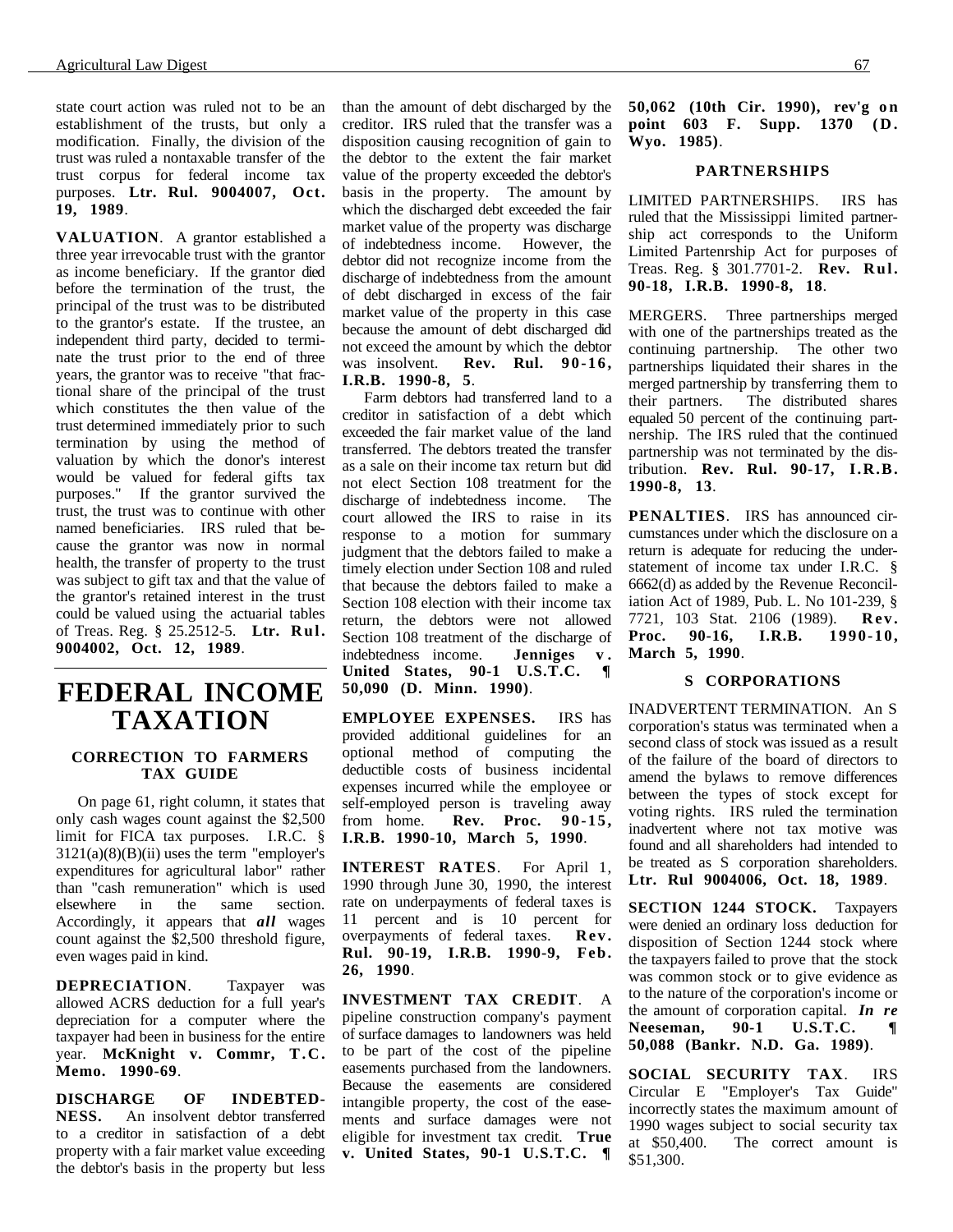state court action was ruled not to be an establishment of the trusts, but only a modification. Finally, the division of the trust was ruled a nontaxable transfer of the trust corpus for federal income tax purposes. **Ltr. Rul. 9004007, Oct. 19, 1989**.

**VALUATION**. A grantor established a three year irrevocable trust with the grantor as income beneficiary. If the grantor died before the termination of the trust, the principal of the trust was to be distributed to the grantor's estate. If the trustee, an independent third party, decided to terminate the trust prior to the end of three years, the grantor was to receive "that fractional share of the principal of the trust which constitutes the then value of the trust determined immediately prior to such termination by using the method of valuation by which the donor's interest would be valued for federal gifts tax purposes." If the grantor survived the trust, the trust was to continue with other named beneficiaries. IRS ruled that because the grantor was now in normal health, the transfer of property to the trust was subject to gift tax and that the value of the grantor's retained interest in the trust could be valued using the actuarial tables of Treas. Reg. § 25.2512-5. **Ltr. Rul. 9004002, Oct. 12, 1989**.

### **FEDERAL INCOME TAXATION**

#### **CORRECTION TO FARMERS TAX GUIDE**

On page 61, right column, it states that only cash wages count against the \$2,500 limit for FICA tax purposes. I.R.C. §  $3121(a)(8)(B)(ii)$  uses the term "employer's expenditures for agricultural labor" rather than "cash remuneration" which is used<br>elsewhere in the same section. elsewhere in the same section. Accordingly, it appears that *all* wages count against the \$2,500 threshold figure, even wages paid in kind.

**DEPRECIATION**. Taxpayer was allowed ACRS deduction for a full year's depreciation for a computer where the taxpayer had been in business for the entire year. **McKnight v. Commr, T.C. Memo. 1990-69**.

**DISCHARGE OF INDEBTED-NESS.** An insolvent debtor transferred to a creditor in satisfaction of a debt property with a fair market value exceeding the debtor's basis in the property but less than the amount of debt discharged by the creditor. IRS ruled that the transfer was a disposition causing recognition of gain to the debtor to the extent the fair market value of the property exceeded the debtor's basis in the property. The amount by which the discharged debt exceeded the fair market value of the property was discharge of indebtedness income. However, the debtor did not recognize income from the discharge of indebtedness from the amount of debt discharged in excess of the fair market value of the property in this case because the amount of debt discharged did not exceed the amount by which the debtor was insolvent. **Rev. Rul. 90-16, I.R.B. 1990-8, 5**.

Farm debtors had transferred land to a creditor in satisfaction of a debt which exceeded the fair market value of the land transferred. The debtors treated the transfer as a sale on their income tax return but did not elect Section 108 treatment for the discharge of indebtedness income. The court allowed the IRS to raise in its response to a motion for summary judgment that the debtors failed to make a timely election under Section 108 and ruled that because the debtors failed to make a Section 108 election with their income tax return, the debtors were not allowed Section 108 treatment of the discharge of indebtedness income. **Jenniges v . United States, 90-1 U.S.T.C. ¶ 50,090 (D. Minn. 1990)**.

**EMPLOYEE EXPENSES.** IRS has provided additional guidelines for an optional method of computing the deductible costs of business incidental expenses incurred while the employee or self-employed person is traveling away from home. **Rev. Proc. 90-15, I.R.B. 1990-10, March 5, 1990**.

**INTEREST RATES**. For April 1, 1990 through June 30, 1990, the interest rate on underpayments of federal taxes is 11 percent and is 10 percent for overpayments of federal taxes. **Rev. Rul. 90-19, I.R.B. 1990-9, Feb. 26, 1990**.

**INVESTMENT TAX CREDIT**. A pipeline construction company's payment of surface damages to landowners was held to be part of the cost of the pipeline easements purchased from the landowners. Because the easements are considered intangible property, the cost of the easements and surface damages were not eligible for investment tax credit. **True v. United States, 90-1 U.S.T.C. ¶**

**50,062 (10th Cir. 1990), rev'g on point 603 F. Supp. 1370 (D. Wyo. 1985)**.

#### **PARTNERSHIPS**

LIMITED PARTNERSHIPS. IRS has ruled that the Mississippi limited partnership act corresponds to the Uniform Limited Partenrship Act for purposes of Treas. Reg. § 301.7701-2. **Rev. Rul. 90-18, I.R.B. 1990-8, 18**.

MERGERS. Three partnerships merged with one of the partnerships treated as the continuing partnership. The other two partnerships liquidated their shares in the merged partnership by transferring them to<br>their partners. The distributed shares The distributed shares equaled 50 percent of the continuing partnership. The IRS ruled that the continued partnership was not terminated by the distribution. **Rev. Rul. 90-17, I.R.B. 1990-8, 13**.

**PENALTIES**. IRS has announced circumstances under which the disclosure on a return is adequate for reducing the understatement of income tax under I.R.C. § 6662(d) as added by the Revenue Reconciliation Act of 1989, Pub. L. No 101-239, § 7721, 103 Stat. 2106 (1989). **Rev. Proc. 90-16, I.R.B. 1990-10, March 5, 1990**.

#### **S CORPORATIONS**

INADVERTENT TERMINATION. An S corporation's status was terminated when a second class of stock was issued as a result of the failure of the board of directors to amend the bylaws to remove differences between the types of stock except for voting rights. IRS ruled the termination inadvertent where not tax motive was found and all shareholders had intended to be treated as S corporation shareholders. **Ltr. Rul 9004006, Oct. 18, 1989**.

**SECTION 1244 STOCK.** Taxpayers were denied an ordinary loss deduction for disposition of Section 1244 stock where the taxpayers failed to prove that the stock was common stock or to give evidence as to the nature of the corporation's income or the amount of corporation capital. *In re*<br>Neeseman, 90-1 U.S.T.C. **Neeseman, 90-1 U.S.T.C. ¶ 50,088 (Bankr. N.D. Ga. 1989)**.

**SOCIAL SECURITY TAX**. IRS Circular E "Employer's Tax Guide" incorrectly states the maximum amount of 1990 wages subject to social security tax at \$50,400. The correct amount is \$51,300.